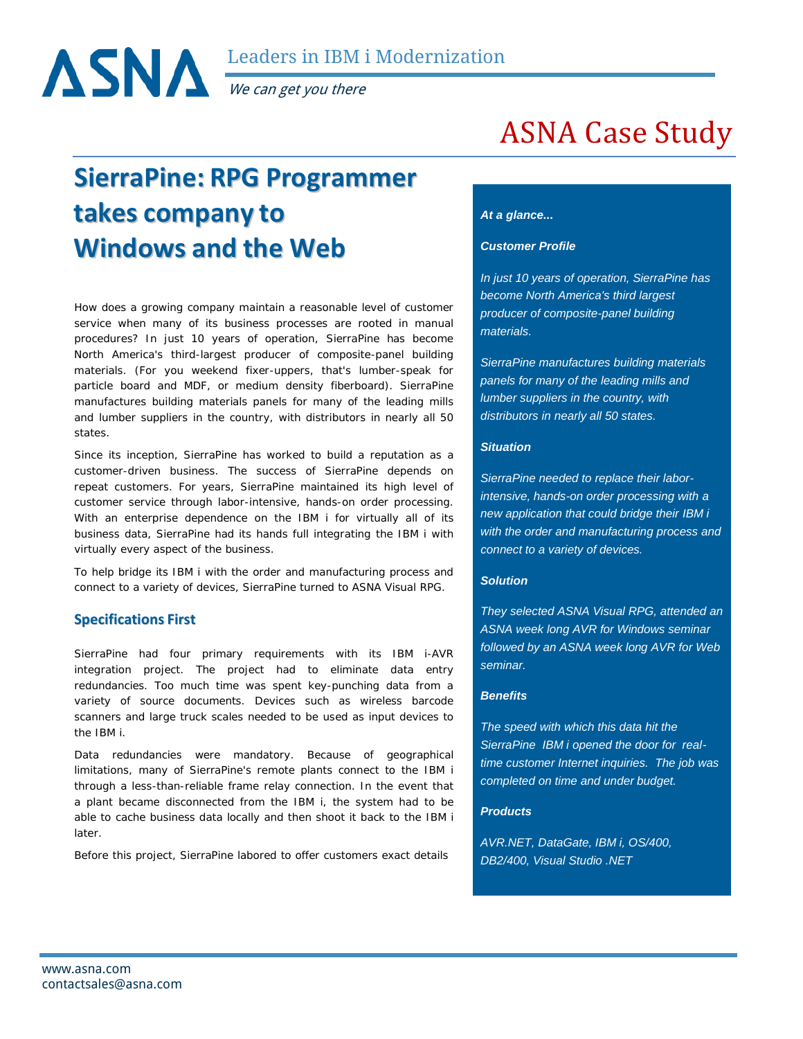Leaders in IBM i Modernization

We can get you there

## **SierraPine: RPG Programmer takes company to Windows and the Web**

How does a growing company maintain a reasonable level of customer service when many of its business processes are rooted in manual procedures? In just 10 years of operation, SierraPine has become North America's third-largest producer of composite-panel building materials. (For you weekend fixer-uppers, that's lumber-speak for particle board and MDF, or medium density fiberboard). SierraPine manufactures building materials panels for many of the leading mills and lumber suppliers in the country, with distributors in nearly all 50 states.

Since its inception, SierraPine has worked to build a reputation as a customer-driven business. The success of SierraPine depends on repeat customers. For years, SierraPine maintained its high level of customer service through labor-intensive, hands-on order processing. With an enterprise dependence on the IBM i for virtually all of its business data, SierraPine had its hands full integrating the IBM i with virtually every aspect of the business.

To help bridge its IBM i with the order and manufacturing process and connect to a variety of devices, SierraPine turned to ASNA Visual RPG.

## **Specifications First**

SierraPine had four primary requirements with its IBM i-AVR integration project. The project had to eliminate data entry redundancies. Too much time was spent key-punching data from a variety of source documents. Devices such as wireless barcode scanners and large truck scales needed to be used as input devices to the IBM i.

Data redundancies were mandatory. Because of geographical limitations, many of SierraPine's remote plants connect to the IBM i through a less-than-reliable frame relay connection. In the event that a plant became disconnected from the IBM i, the system had to be able to cache business data locally and then shoot it back to the IBM i later.

Before this project, SierraPine labored to offer customers exact details

# ASNA Case Study

#### *At a glance...*

#### *Customer Profile*

*In just 10 years of operation, SierraPine has become North America's third largest producer of composite-panel building materials.*

*SierraPine manufactures building materials panels for many of the leading mills and lumber suppliers in the country, with distributors in nearly all 50 states.*

#### *Situation*

*SierraPine needed to replace their laborintensive, hands-on order processing with a new application that could bridge their IBM i with the order and manufacturing process and connect to a variety of devices.*

#### *Solution*

*They selected ASNA Visual RPG, attended an ASNA week long AVR for Windows seminar followed by an ASNA week long AVR for Web seminar.*

#### *Benefits*

*The speed with which this data hit the SierraPine IBM i opened the door for realtime customer Internet inquiries. The job was completed on time and under budget.*

#### *Products*

*AVR.NET, DataGate, IBM i, OS/400, DB2/400, Visual Studio .NET*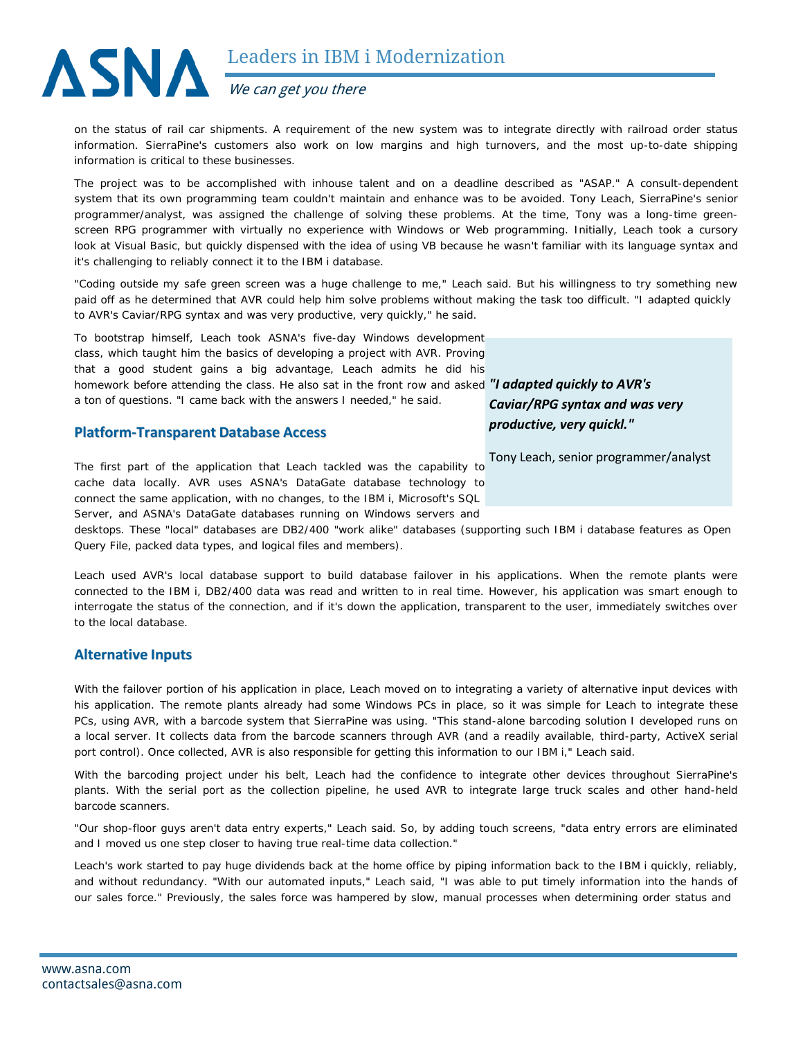

on the status of rail car shipments. A requirement of the new system was to integrate directly with railroad order status information. SierraPine's customers also work on low margins and high turnovers, and the most up-to-date shipping information is critical to these businesses.

The project was to be accomplished with inhouse talent and on a deadline described as "ASAP." A consult-dependent system that its own programming team couldn't maintain and enhance was to be avoided. Tony Leach, SierraPine's senior programmer/analyst, was assigned the challenge of solving these problems. At the time, Tony was a long-time greenscreen RPG programmer with virtually no experience with Windows or Web programming. Initially, Leach took a cursory look at Visual Basic, but quickly dispensed with the idea of using VB because he wasn't familiar with its language syntax and it's challenging to reliably connect it to the IBM i database.

"Coding outside my safe green screen was a huge challenge to me," Leach said. But his willingness to try something new paid off as he determined that AVR could help him solve problems without making the task too difficult. "I adapted quickly to AVR's Caviar/RPG syntax and was very productive, very quickly," he said.

To bootstrap himself, Leach took ASNA's five-day Windows development class, which taught him the basics of developing a project with AVR. Proving that a good student gains a big advantage, Leach admits he did his homework before attending the class. He also sat in the front row and asked *"I adapted quickly to AVR's*  a ton of questions. "I came back with the answers I needed," he said.

#### **Platform-Transparent Database Access**

The first part of the application that Leach tackled was the capability to cache data locally. AVR uses ASNA's DataGate database technology to connect the same application, with no changes, to the IBM i, Microsoft's SQL Server, and ASNA's DataGate databases running on Windows servers and Tony Leach, senior programmer/analyst

desktops. These "local" databases are DB2/400 "work alike" databases (supporting such IBM i database features as Open Query File, packed data types, and logical files and members).

Leach used AVR's local database support to build database failover in his applications. When the remote plants were connected to the IBM i, DB2/400 data was read and written to in real time. However, his application was smart enough to

interrogate the status of the connection, and if it's down the application, transparent to the user, immediately switches over

## **Alternative Inputs**

to the local database.

With the failover portion of his application in place, Leach moved on to integrating a variety of alternative input devices with his application. The remote plants already had some Windows PCs in place, so it was simple for Leach to integrate these PCs, using AVR, with a barcode system that SierraPine was using. "This stand-alone barcoding solution I developed runs on a local server. It collects data from the barcode scanners through AVR (and a readily available, third-party, ActiveX serial port control). Once collected, AVR is also responsible for getting this information to our IBM i," Leach said.

With the barcoding project under his belt, Leach had the confidence to integrate other devices throughout SierraPine's plants. With the serial port as the collection pipeline, he used AVR to integrate large truck scales and other hand-held barcode scanners.

"Our shop-floor guys aren't data entry experts," Leach said. So, by adding touch screens, "data entry errors are eliminated and I moved us one step closer to having true real-time data collection."

Leach's work started to pay huge dividends back at the home office by piping information back to the IBM i quickly, reliably, and without redundancy. "With our automated inputs," Leach said, "I was able to put timely information into the hands of our sales force." Previously, the sales force was hampered by slow, manual processes when determining order status and

*Caviar/RPG syntax and was very productive, very quickl."*